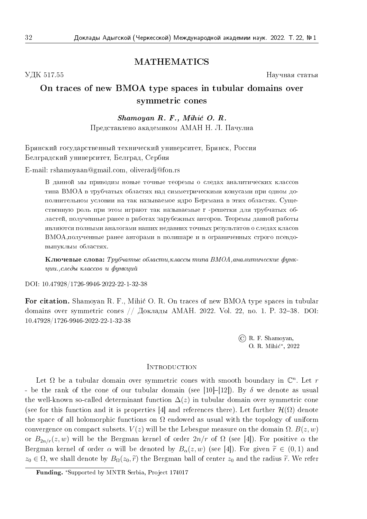### MATHEMATICS

УДК 517.55 Научная статья

# On traces of new BMOA type spaces in tubular domains over symmetric cones

## $Shamoyan R. F., Mihic O. R.$ Представлено академиком АМАН Н. Л. Пачулиа

Брянский государственный технический университет, Брянск, Россия Белградский университет, Белград, Сербия

E-mail: rshamoyaan@gmail.com, oliveradj@fon.rs

В данной мы приводим новые точные теоремы о следах аналитических классов типа ВМОА в трубчатых областях над симметрическими конусами при одном дополнительном условии на так называемое ядро Бергмана в этих областях. Существенную роль при этом играют так называемые r -решетки для трубчатых областей, полученные ранее в работах зарубежных авторов. Теоремы данной работы являются полными аналогами наших недавних точных результатов о следах класов ВМОА,полученные ранее авторами в полишаре и в ограниченных строго псевдовыпуклым областях.

Ключевые слова: Трубчатые области,классы типа ВМОА,аналитические функции.,следы классов и функций

DOI: 10.47928/1726-9946-2022-22-1-32-38

For citation. Shamoyan R. F., Mihić O. R. On traces of new BMOA type spaces in tubular domains over symmetric cones // Доклады АМАН. 2022. Vol. 22, no. 1. P. 32–38. DOI: 10.47928/1726-9946-2022-22-1-32-38

> © R. F. Shamoyan, O. R. Mihić\*, 2022

### **INTRODUCTION**

Let  $\Omega$  be a tubular domain over symmetric cones with smooth boundary in  $\mathbb C^n$ . Let r - be the rank of the cone of our tubular domain (see [10]–[12]). By  $\delta$  we denote as usual the well-known so-called determinant function  $\Delta (z)$  in tubular domain over symmetric cone (see for this function and it is properties [4] and references there). Let further  $\mathcal{H}(\Omega)$  denote the space of all holomorphic functions on  $\Omega$  endowed as usual with the topology of uniform convergence on compact subsets.  $V(z)$  will be the Lebesgue measure on the domain  $\Omega$ .  $B(z, w)$ or  $B_{2n/r}(z, w)$  will be the Bergman kernel of order  $2n/r$  of  $\Omega$  (see [4]). For positive  $\alpha$  the Bergman kernel of order  $\alpha$  will be denoted by  $B_\alpha (z, w)$  (see [4]). For given  $\widetilde r \in (0, 1)$  and  $z_0 \in \Omega$ , we shall denote by  $B_\Omega (z_0, \tilde r)$  the Bergman ball of center  $z_0$  and the radius  $\tilde r$ . We refer

Funding. \*Supported by MNTR Serbia, Project 174017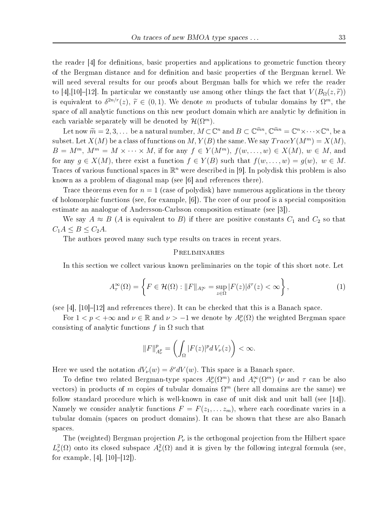the reader [4] for definitions, basic properties and applications to geometric function theory of the Bergman distance and for definition and basic properties of the Bergman kernel. We will need several results for our proofs about Bergman balls for which we refer the reader to [4],[10]–[12]. In particular we constantly use among other things the fact that  $V(B_{\Omega}(z, \tilde r))$ is equivalent to  $\delta^{2n/r}(z)$ ,  $\widetilde{r} \in (0, 1)$ . We denote m products of tubular domains by  $\Omega^m$ , the space of all analytic functions on this new product domain which are analytic by definition in each variable separately will be denoted by  $\mathcal H (\Omega^m)$ .

Let now  $\widetilde{m} = 2, 3, ...$  be a natural number,  $M \subset \mathbb{C}^n$  and  $B \subset \mathbb{C}^{\widetilde{m}n}$ ,  $\mathbb{C}^{\widetilde{m}n} = \mathbb{C}^n \times \cdots \times \mathbb{C}^n$ , be a<br>set Let  $\mathbf{V}(M)$  be a slope of functions on  $M$ ,  $\mathbf{V}(D)$  the same  $\mathbf{W}_0$  and subset. Let  $X(M)$  be a class of functions on M,  $Y(B)$  the same. We say  $TraceY(M^m) = X(M)$ ,  $B = M^m$ ,  $M^m = M \times \cdots \times M$ , if for any  $f \in Y(M^m)$ ,  $f(w, \ldots, w) \in X(M)$ ,  $w \in M$ , and for any  $g \in X(M)$ , there exist a function  $f \in Y(B)$  such that  $f(w, \ldots, w) = g(w), w \in M$ . Traces of various functional spaces in  $\mathbb{R}^n$  were described in [9]. In polydisk this problem is also known as a problem of diagonal map (see [6] and references there).

Trace theorems even for  $n = 1$  (case of polydisk) have numerous applications in the theory of holomorphic functions (see, for example, [6]). The core of our proof is a special composition estimate an analogue of Andersson-Carlsson composition estimate (see [3]).

We say  $A \approx B$  (A is equivalent to B) if there are positive constants  $C_1$  and  $C_2$  so that  $C_1A \leq B \leq C_2A$ .

The authors proved many such type results on traces in recent years.

#### Preliminaries

In this section we collect various known preliminaries on the topic of this short note. Let

$$
A_{\tau}^{\infty}(\Omega) = \left\{ F \in \mathcal{H}(\Omega) : ||F||_{A_{\tau}^{\infty}} = \sup_{z \in \Omega} |F(z)| \delta^{\tau}(z) < \infty \right\},\tag{1}
$$

(see [4], [10]–[12] and references there). It can be checked that this is a Banach space.

For  $1 < p < +\infty$  and  $\nu \in \mathbb{R}$  and  $\nu > -1$  we denote by  $A_{\nu}^p(\Omega)$  the weighted Bergman space consisting of analytic functions f in  $\Omega$  such that

$$
||F||_{A^p_\nu}^p = \left(\int_{\Omega} |F(z)|^p dV_\nu(z)\right) < \infty.
$$

Here we used the notation  $dV_\nu (w) = \delta^\nu dV(w)$ . This space is a Banach space.

To define two related Bergman-type spaces  $A_\nu^p(\Omega^m)$  and  $A_\tau^\infty(\Omega^m)$  ( $\nu$  and  $\tau$  can be also vectors) in products of m copies of tubular domains  $\Omega^m$  (here all domains are the same) we follow standard procedure which is well-known in case of unit disk and unit ball (see [14]). Namely we consider analytic functions  $F = F(z_1, \ldots z_m)$ , where each coordinate varies in a tubular domain (spaces on product domains). It can be shown that these are also Banach spaces.

The (weighted) Bergman projection  $P_\nu$  is the orthogonal projection from the Hilbert space  $L^2_{\nu}(\Omega)$  onto its closed subspace  $A^2_{\nu}(\Omega)$  and it is given by the following integral formula (see, for example, [4],  $[10]-[12]$ .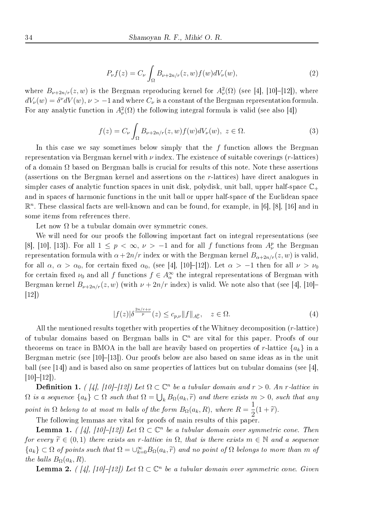$$
P_{\nu}f(z) = C_{\nu} \int_{\Omega} B_{\nu+2n/r}(z,w)f(w)dV_{\nu}(w), \qquad (2)
$$

where  $B_{\nu +2n/r}(z, w)$  is the Bergman reproducing kernel for  $A^2_{\nu}(\Omega)$  (see [4], [10]–[12]), where  $dV_\nu (w) = \delta^\nu dV (w), \nu > -1$  and where  $C_\nu$  is a constant of the Bergman representation formula. For any analytic function in  $A^2_\nu(\Omega)$  the following integral formula is valid (see also [4])

$$
f(z) = C_{\nu} \int_{\Omega} B_{\nu+2n/r}(z, w) f(w) dV_{\nu}(w), \ z \in \Omega.
$$
 (3)

In this case we say sometimes below simply that the  $f$  function allows the Bergman representation via Bergman kernel with  $\nu$  index. The existence of suitable coverings (r-lattices) of a domain  $\Omega$  based on Bergman balls is crucial for results of this note. Note these assertions (assertions on the Bergman kernel and assertions on the r-lattices) have direct analogues in simpler cases of analytic function spaces in unit disk, polydisk, unit ball, upper half-space  $\Bbb C$ . and in spaces of harmonic functions in the unit ball or upper half-space of the Euclidean space  $\mathbb{R}^n$ . These classical facts are well-known and can be found, for example, in [6], [8], [16] and in some items from references there.

Let now  $\Omega$  be a tubular domain over symmetric cones.

We will need for our proofs the following important fact on integral representations (see [8], [10], [13]). For all  $1 \leq p \leq \infty, \nu > -1$  and for all f functions from  $A_{\nu}^{p}$  the Bergman representation formula with  $\alpha + 2n/r$  index or with the Bergman kernel  $B_{\alpha + 2n/r}(z, w)$  is valid, for all  $\alpha$ ,  $\alpha > \alpha_0$ , for certain fixed  $\alpha_0$ , (see [4], [10]–[12]). Let  $\alpha > -1$  then for all  $\nu > \nu_0$ for certain fixed  $\nu_0$  and all f functions  $f \in A^\infty_\alpha$  the integral representations of Bergman with Bergman kernel  $B_{\nu +2n/r}(z, w)$  (with  $\nu + 2n/r$  index) is valid. We note also that (see [4], [10]– [12])

$$
|f(z)|\delta^{\frac{2n/r+\nu}{p}}(z) \le c_{p,\nu} \|f\|_{A^p_\nu}, \quad z \in \Omega.
$$
 (4)

All the mentioned results together with properties of the Whitney decomposition (r-lattice) of tubular domains based on Bergman balls in  $\mathbb{C}^n$  are vital for this paper. Proofs of our theorems on trace in BMOA in the ball are heavily based on properties of r-lattice  $\{a_k\}$  in a Bergman metric (see [10]–[13]). Our proofs below are also based on same ideas as in the unit ball (see [14]) and is based also on same properties of lattices but on tubular domains (see [4],  $[10]–[12]$ .

**Definition 1.** ( [4], [10]-[12]) Let  $\Omega \subset \mathbb{C}^n$  be a tubular domain and  $r > 0$ . An r-lattice in  $\Omega$  is a sequence  $\{a_k\} \subset \Omega$  such that  $\Omega = \bigcup_k B_\Omega (a_k, \widetilde{r})$  and there exists  $m > 0$ , such that any point in  $\Omega$  belong to at most m balls of the form  $B_\Omega (a_k, R)$ , where  $R =$ 1  $\frac{1}{2}(1+\widetilde r).$ 

The following lemmas are vital for proofs of main results of this paper.

**Lemma 1.** ( [4], [10]–[12]) Let  $\Omega \subset \mathbb{C}^n$  be a tubular domain over symmetric cone. Then for every  $\widetilde r \in (0, 1)$  there exists an r-lattice in  $\Omega$ , that is there exists  $m \in \mathbb N$  and a sequence  $\{a_k\} \subset \Omega$  of points such that  $\Omega = \bigcup_{k=0}^{\infty} B_{\Omega} (a_k, \tilde{r})$  and no point of  $\Omega$  belongs to more than m of the balls  $B_\Omega (a_k, R)$ .

**Lemma 2.** ( [4], [10]-[12]) Let  $\Omega \subset \mathbb{C}^n$  be a tubular domain over symmetric cone. Given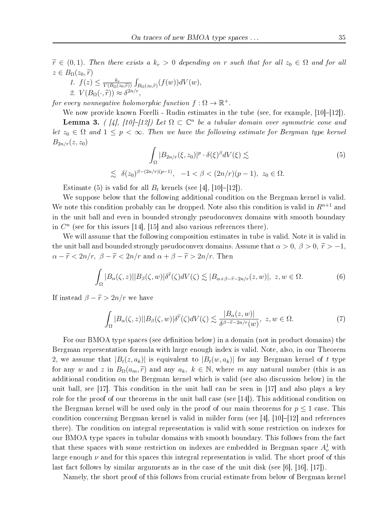$\widetilde r \in (0, 1)$ . Then there exists a  $k_r > 0$  depending on r such that for all  $z_0 \in \Omega$  and for all  $z \in B_\Omega (z_0, \widetilde r)$ 

1. 
$$
f(z) \le \frac{k_r}{V(B_{\Omega}(z_0, \tilde{r}))} \int_{B_{\Omega}(z_0, \tilde{r})} (f(w)) dV(w),
$$
  
2.  $V(B_{\Omega}(\cdot, \tilde{r})) \approx \delta^{2n/r},$ 

2.  $V(B_{\Omega} (\cdot , \widetilde{r})) \approx \delta^{2n/r}$ ,<br>for every nonnegative holomorphic function  $f : \Omega \rightarrow \Bbb R^+$ .

We now provide known Forelli - Rudin estimates in the tube (see, for example, [10]–[12]).

**Lemma 3.** ( [4], [10]-[12]) Let  $\Omega \subset \mathbb{C}^n$  be a tubular domain over symmetric cone and let  $z_0 \in \Omega$  and  $1 \leq p < \infty$ . Then we have the following estimate for Bergman type kernel  $B_{2n/r}(z, z_0)$ 

$$
\int_{\Omega} |B_{2n/r}(\xi, z_0)|^p \cdot \delta(\xi)^{\beta} dV(\xi) \lesssim
$$
\n
$$
\lesssim \delta(z_0)^{\beta - (2n/r)(p-1)}, \quad -1 < \beta < (2n/r)(p-1), \quad z_0 \in \Omega.
$$
\n
$$
(5)
$$

Estimate (5) is valid for all  $B_t$  kernels (see [4], [10]–[12]).

We suppose below that the following additional condition on the Bergman kernel is valid. We note this condition probably can be dropped. Note also this condition is valid in  $R^{n+1}$  and in the unit ball and even in bounded strongly pseudoconvex domains with smooth boundary in  $C<sup>n</sup>$  (see for this issues [14], [15] and also various references there).

We will assume that the following composition estimates in tube is valid. Note it is valid in the unit ball and bounded strongly pseudoconvex domains. Assume that  $\alpha > 0, \beta > 0, \tilde{r} > -1$ ,  $\alpha - \widetilde{r} < 2n/r, \ \beta - \widetilde{r} < 2n/r$  and  $\alpha + \beta - \widetilde{r} > 2n/r$ . Then

$$
\int_{\Omega} |B_{\alpha}(\zeta, z)||B_{\beta}(\zeta, w)| \delta^{\tilde{r}}(\zeta) dV(\zeta) \lesssim |B_{\alpha + \beta - \tilde{r} - 2n/r}(z, w)|, \ z, w \in \Omega.
$$
 (6)

If instead  $\beta - \widetilde{r} > 2n/r$  we have

$$
\int_{\Omega} |B_{\alpha}(\zeta, z)||B_{\beta}(\zeta, w)| \delta^{\tilde{r}}(\zeta) dV(\zeta) \lesssim \frac{|B_{\alpha}(z, w)|}{\delta^{\beta - \tilde{r} - 2n/r}(w)}, \ z, w \in \Omega.
$$
 (7)

For our BMOA type spaces (see definition below) in a domain (not in product domains) the Bergman representation formula with large enough index is valid. Note, also, in our Theorem 2, we assume that  $|B_t(z, a_k)|$  is equivalent to  $|B_t(w, a_k)|$  for any Bergman kernel of t type for any w and z in  $B_{\Omega} (a_m, \tilde{r})$  and any  $a_k, k \in \mathbb{N}$ , where m any natural number (this is an additional condition on the Bergman kernel which is valid (see also discussion below) in the unit ball, see  $\left[17\right]$ . This condition in the unit ball can be seen in  $\left[17\right]$  and also plays a key role for the proof of our theorems in the unit ball case (see [14]). This additional condition on the Bergman kernel will be used only in the proof of our main theorems for  $p \leq 1$  case. This condition concerning Bergman kernel is valid in milder form (see [4], [10]–[12] and references there). The condition on integral representation is valid with some restriction on indexes for our BMOA type spaces in tubular domains with smooth boundary. This follows from the fact that these spaces with some restriction on indexes are embedded in Bergman space  $A^1_\nu$  with large enough  $\nu$  and for this spaces this integral representation is valid. The short proof of this last fact follows by similar arguments as in the case of the unit disk (see [6], [16], [17]).

Namely, the short proof of this follows from crucial estimate from below of Bergman kernel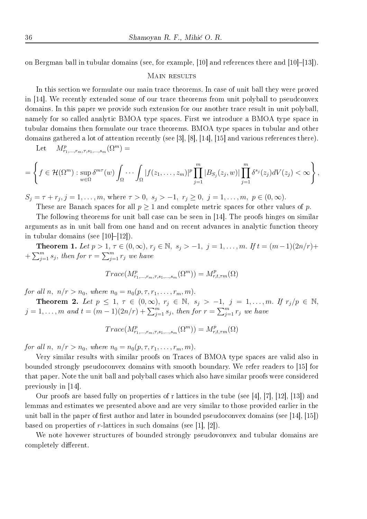on Bergman ball in tubular domains (see, for example, [10] and references there and [10]–[13]).

#### MAIN RESULTS

In this section we formulate our main trace theorems. In case of unit ball they were proved in [14]. We recently extended some of our trace theorems from unit polyball to pseudconvex domains. In this paper we provide such extension for our another trace result in unit polyball, namely for so called analytic BMOA type spaces. First we introduce a BMOA type space in tubular domains then formulate our trace theorems. BMOA type spaces in tubular and other domains gathered a lot of attention recently (see [3], [8], [14], [15] and various references there).

Let 
$$
M^p_{r_1,\ldots,r_m,\tau,s_1,\ldots,s_m}(\Omega^m) =
$$

$$
= \left\{ f \in \mathcal{H}(\Omega^m) : \sup_{w \in \Omega} \delta^{m\tau}(w) \int_{\Omega} \cdots \int_{\Omega} |f(z_1,\ldots,z_m)|^p \prod_{j=1}^m |B_{S_j}(z_j,w)| \prod_{j=1}^m \delta^{s_j}(z_j) dV(z_j) < \infty \right\},
$$

 $S_j = \tau + r_j, j = 1, \ldots, m$ , where  $\tau > 0, s_j > -1, r_j \geq 0, j = 1, \ldots, m, p \in (0,\infty)$ .

These are Banach spaces for all  $p \geq 1$  and complete metric spaces for other values of p.

The following theorems for unit ball case can be seen in [14]. The proofs hinges on similar arguments as in unit ball from one hand and on recent advances in analytic function theory in tubular domains (see [10]–[12]).

**Theorem 1.** Let  $p > 1, \tau \in (0,\infty )$ ,  $r_j \in \mathbb{N}$ ,  $s_j > -1, j = 1, \ldots, m$ . If  $t = (m - 1)(2n/r)+$  $+\sum_{j=1}^m s_j$ , then for  $r = \sum_{j=1}^m r_j$  we have

$$
Trace(M^p_{r_1,\ldots,r_m,\tau,s_1,\ldots,s_m}(\Omega^m)) = M^p_{r,t,\tau^m}(\Omega)
$$

for all n,  $n/r > n_0$ , where  $n_0 = n_0(p, \tau, r_1, \ldots, r_m, m)$ .

**Theorem 2.** Let  $p \leq 1, \tau \in (0,\infty )$ ,  $r_j \in \Bbb N, s_j > -1, j = 1, ..., m$ . If  $r_j/p \in \Bbb N$ ,  $j = 1, \ldots, m$  and  $t = (m-1)(2n/r) + \sum_{j=1}^{m} s_j$ , then for  $r = \sum_{j=1}^{m} r_j$  we have

$$
Trace(M^p_{r_1,\ldots,r_m,\tau,s_1,\ldots,s_m}(\Omega^m))=M^p_{r,t,\tau m}(\Omega)
$$

for all n,  $n/r > n_0$ , where  $n_0 = n_0(p, \tau, r_1, \ldots, r_m, m)$ .

Very similar results with similar proofs on Traces of BMOA type spaces are valid also in bounded strongly pseudoconvex domains with smooth boundary. We refer readers to [15] for that paper. Note the unit ball and polyball cases which also have similar proofs were considered previously in [14].

Our proofs are based fully on properties of r lattices in the tube (see [4], [7], [12], [13]) and lemmas and estimates we presented above and are very similar to those provided earlier in the unit ball in the paper of first author and later in bounded pseudoconvex domains (see [14], [15]) based on properties of r-lattices in such domains (see [1], [2]).

We note hovewer structures of bounded strongly pseudovonvex and tubular domains are completely different.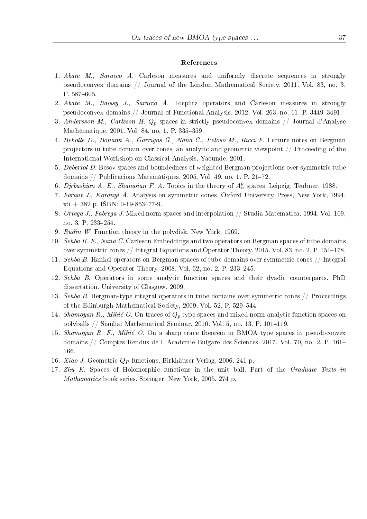#### References

- 1. Abate M., Saracco A. Carleson measures and uniformly discrete sequences in strongly pseudoconvex domains // Journal of the London Mathematical Society. 2011. Vol. 83, no. 3. P. 587–605.
- 2. Abate M., Raissy J., Saracco A. Toeplitz operators and Carleson measures in strongly pseudoconvex domains // Journal of Functional Analysis. 2012. Vol. 263, no. 11. P. 3449–3491.
- 3. Andersson M., Carlsson H.  $Q_p$  spaces in strictly pseudoconvex domains // Journal d'Analyse Mathèmatique. 2001. Vol. 84, no. 1. P. 335-359.
- 4. Bekolle D., Bonami A., Garrigos G., Nana C., Peloso M., Ricci F. Lecture notes on Bergman projectors in tube domain over cones, an analytic and geometric viewpoint // Proceeding of the International Workshop on Classical Analysis. Yaounde. 2001.
- 5. Debertol D. Besov spaces and boundedness of weighted Bergman projections over symmetric tube domains // Publicacions Matem`atiques. 2005. Vol. 49, no. 1. P. 21–72.
- 6. Djrbashian A. E., Shamoian F. A. Topics in the theory of  $A^p_\alpha$  spaces. Leipzig, Teubner, 1988.
- 7. Faraut J., Koranyi A. Analysis on symmetric cones. Oxford University Press, New York, 1994.  $xii + 382$  p. ISBN: 0-19-853477-9.
- 8. Ortega J., Fabrega J. Mixed norm spaces and interpolation // Studia Matematica. 1994. Vol. 109, no. 3. P. 233–254.
- 9. Rudin W. Function theory in the polydisk. New York, 1969.
- 10. Sehba B. F., Nana C. Carleson Embeddings and two operators on Bergman spaces of tube domains over symmetric cones // Integral Equations and Operator Theory. 2015. Vol. 83, no. 2. P. 151–178.
- 11. Sehba B. Hankel operators on Bergman spaces of tube domains over symmetric cones // Integral Equations and Operator Theory. 2008. Vol. 62, no. 2. P. 233–245.
- 12. Sehba B. Operators in some analytic function spaces and their dyadic counterparts. PhD dissertation. University of Glasgow, 2009.
- 13. Sehba B. Bergman-type integral operators in tube domains over symmetric cones // Proceedings of the Edinburgh Mathematical Society, 2009. Vol. 52. P. 529–544.
- 14. Shamoyan R., Mihić O. On traces of  $Q_p$  type spaces and mixed norm analytic function spaces on polyballs // Siauliai Mathematical Seminar. 2010. Vol. 5, no. 13. P. 101–119.
- 15. Shamoyan R. F., Mihić O. On a sharp trace theorem in BMOA type spaces in pseudoconvex domains // Comptes Rendus de L'Academie Bulgare des Sciences. 2017. Vol. 70, no. 2. P. 161– 166.
- 16. *Xiao J.* Geometric  $Q_P$  functions. Birkhäuser Verlag, 2006. 241 p.
- 17. Zhu K. Spaces of Holomorphic functions in the unit ball. Part of the Graduate Texts in Mathematics book series. Springer, New York, 2005. 274 p.